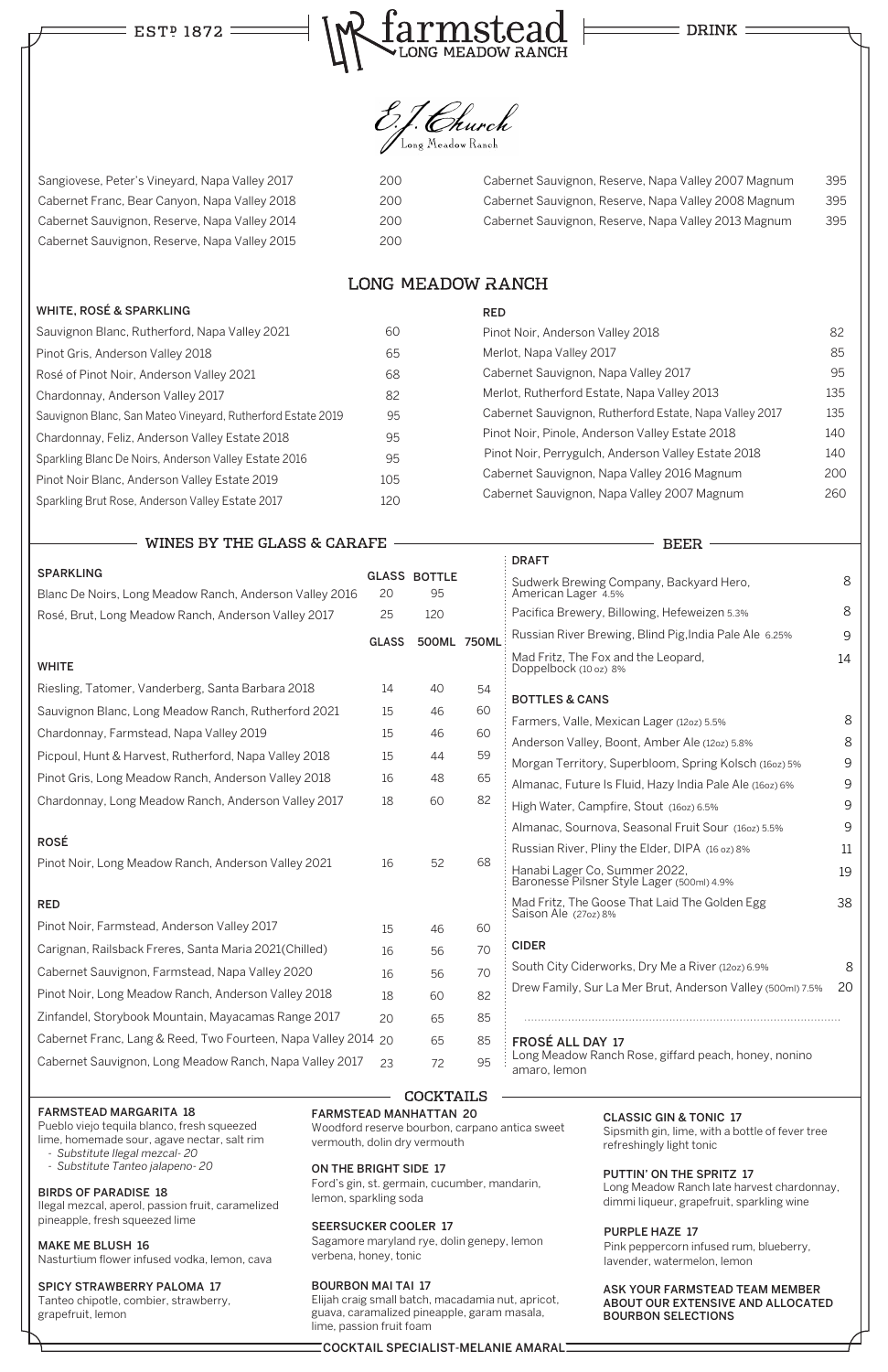## EST<sup>P</sup> 1872 :



**DRINK** 



## FARMSTEAD MARGARITA 18

Pueblo viejo tequila blanco, fresh squeezed lime, homemade sour, agave nectar, salt rim

- *Substitute Ilegal mezcal- 20*
- *Substitute Tanteo jalapeno- 20*

#### BIRDS OF PARADISE 18

Ilegal mezcal, aperol, passion fruit, caramelized pineapple, fresh squeezed lime

MAKE ME BLUSH 16 Nasturtium flower infused vodka, lemon, cava

# SPICY STRAWBERRY PALOMA 17

Tanteo chipotle, combier, strawberry, grapefruit, lemon

## FARMSTEAD MANHATTAN 20

Woodford reserve bourbon, carpano antica sweet vermouth, dolin dry vermouth

## ON THE BRIGHT SIDE 17

Ford's gin, st. germain, cucumber, mandarin, lemon, sparkling soda

## SEERSUCKER COOLER 17

Sagamore maryland rye, dolin genepy, lemon verbena, honey, tonic

#### BOURBON MAI TAI 17

Elijah craig small batch, macadamia nut, apricot, guava, caramalized pineapple, garam masala, lime, passion fruit foam

|                                                                             |              |                           |    | <b>DRAFT</b>                                                                                           |        |
|-----------------------------------------------------------------------------|--------------|---------------------------|----|--------------------------------------------------------------------------------------------------------|--------|
| <b>SPARKLING</b><br>Blanc De Noirs, Long Meadow Ranch, Anderson Valley 2016 | 20           | <b>GLASS BOTTLE</b><br>95 |    | Sudwerk Brewing Company, Backyard Hero,<br>American Lager 4.5%                                         | 8      |
| Rosé, Brut, Long Meadow Ranch, Anderson Valley 2017                         | 25           | 120                       |    | Pacifica Brewery, Billowing, Hefeweizen 5.3%                                                           | 8      |
|                                                                             | <b>GLASS</b> | 500ML 750ML               |    | Russian River Brewing, Blind Pig, India Pale Ale 6.25%                                                 | 9      |
| <b>WHITE</b>                                                                |              |                           |    | Mad Fritz, The Fox and the Leopard,<br>Doppelbock (10 oz) 8%                                           | 14     |
| Riesling, Tatomer, Vanderberg, Santa Barbara 2018                           | 14           | 40                        | 54 |                                                                                                        |        |
| Sauvignon Blanc, Long Meadow Ranch, Rutherford 2021                         | 15           | 46                        | 60 | <b>BOTTLES &amp; CANS</b>                                                                              |        |
| Chardonnay, Farmstead, Napa Valley 2019                                     | 15           | 46                        | 60 | Farmers, Valle, Mexican Lager (12oz) 5.5%                                                              | 8<br>8 |
| Picpoul, Hunt & Harvest, Rutherford, Napa Valley 2018                       | 15           | 44                        | 59 | Anderson Valley, Boont, Amber Ale (12oz) 5.8%<br>Morgan Territory, Superbloom, Spring Kolsch (160z) 5% | 9      |
| Pinot Gris, Long Meadow Ranch, Anderson Valley 2018                         | 16           | 48                        | 65 | Almanac, Future Is Fluid, Hazy India Pale Ale (160z) 6%                                                | 9      |
| Chardonnay, Long Meadow Ranch, Anderson Valley 2017                         | 18           | 60                        | 82 | High Water, Campfire, Stout (160z) 6.5%                                                                | 9      |
|                                                                             |              |                           |    | Almanac, Sournova, Seasonal Fruit Sour (1602) 5.5%                                                     | 9      |
| <b>ROSÉ</b>                                                                 |              |                           |    | Russian River, Pliny the Elder, DIPA (16 oz) 8%                                                        | 11     |
| Pinot Noir, Long Meadow Ranch, Anderson Valley 2021                         | 16           | 52                        | 68 | Hanabi Lager Co, Summer 2022,<br>Baronesse Pilsner Style Lager (500ml) 4.9%                            | 19     |
| <b>RED</b>                                                                  |              |                           |    | Mad Fritz, The Goose That Laid The Golden Egg                                                          | 38     |
| Pinot Noir, Farmstead, Anderson Valley 2017                                 | 15           | 46                        | 60 | Saison Ale (27oz) 8%                                                                                   |        |
| Carignan, Railsback Freres, Santa Maria 2021(Chilled)                       | 16           | 56                        | 70 | <b>CIDER</b>                                                                                           |        |
| Cabernet Sauvignon, Farmstead, Napa Valley 2020                             | 16           | 56                        | 70 | South City Ciderworks, Dry Me a River (12oz) 6.9%                                                      | 8      |
| Pinot Noir, Long Meadow Ranch, Anderson Valley 2018                         | 18           | 60                        | 82 | Drew Family, Sur La Mer Brut, Anderson Valley (500ml) 7.5%                                             | 20     |

## CLASSIC GIN & TONIC 17

Sipsmith gin, lime, with a bottle of fever tree refreshingly light tonic

#### PUTTIN' ON THE SPRITZ 17

Long Meadow Ranch late harvest chardonnay, dimmi liqueur, grapefruit, sparkling wine

#### ASK YOUR FARMSTEAD TEAM MEMBER ABOUT OUR EXTENSIVE AND ALLOCATED BOURBON SELECTIONS

Sangiovese, Peter's Vineyard, Napa Valley 2017 200 Cabernet Franc, Bear Canyon, Napa Valley 2018 200 Cabernet Sauvignon, Reserve, Napa Valley 2014 200 Cabernet Sauvignon, Reserve, Napa Valley 2015 200

> Pinot Noir, Anderson Valley 2018 82 Merlot, Napa Valley 2017 Merlot, Napa Valley 2017 Cabernet Sauvignon, Napa Valley 2017 1995 Merlot, Rutherford Estate, Napa Valley 2013 135 Cabernet Sauvignon, Rutherford Estate, Napa Valley 2017 135 Pinot Noir, Pinole, Anderson Valley Estate 2018 140 Pinot Noir, Perrygulch, Anderson Valley Estate 2018 140 Cabernet Sauvignon, Napa Valley 2016 Magnum 200 Cabernet Sauvignon, Napa Valley 2007 Magnum 260

> > **BEER**

## **LONG MEADOW RANCH**

Zinfandel, Storybook Mountain, Mayacamas Range 2017

Cabernet Franc, Lang & Reed, Two Fourteen, Napa Valley 2014 20

Cabernet Sauvignon, Long Meadow Ranch, Napa Valley 2017 23

20

65 65 72

#### WHITE, ROSÉ & SPARKLING

| Sauvignon Blanc, Rutherford, Napa Valley 2021               | 60  |
|-------------------------------------------------------------|-----|
| Pinot Gris, Anderson Valley 2018                            | 65  |
| Rosé of Pinot Noir, Anderson Valley 2021                    | 68  |
| Chardonnay, Anderson Valley 2017                            | 82  |
| Sauvignon Blanc, San Mateo Vineyard, Rutherford Estate 2019 | 95  |
| Chardonnay, Feliz, Anderson Valley Estate 2018              | 95  |
| Sparkling Blanc De Noirs, Anderson Valley Estate 2016       | 95  |
| Pinot Noir Blanc, Anderson Valley Estate 2019               | 105 |
| Sparkling Brut Rose, Anderson Valley Estate 2017            | 120 |

WINES BY THE GLASS & CARAFE

RED

85 85 FROSÉ ALL DAY 17 Long Meadow Ranch Rose, giffard peach, honey, nonino 95 amaro, lemon

## **COCKTAILS**

| Cabernet Sauvignon, Reserve, Napa Valley 2007 Magnum | 395 |
|------------------------------------------------------|-----|
| Cabernet Sauvignon, Reserve, Napa Valley 2008 Magnum | 395 |
| Cabernet Sauvignon, Reserve, Napa Valley 2013 Magnum | 395 |

## COCKTAIL SPECIALIST-MELANIE AMARAL

## PURPLE HAZE 17

Pink peppercorn infused rum, blueberry, lavender, watermelon, lemon